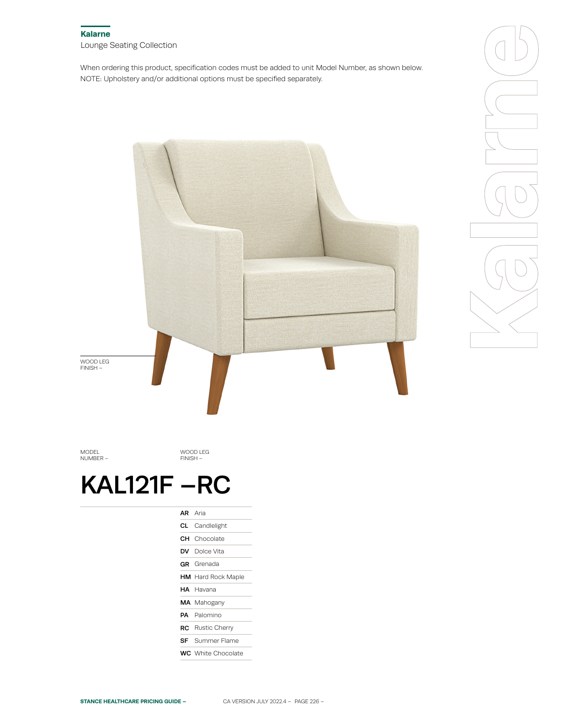When ordering this product, specification codes must be added to unit Model Number, as shown below. NOTE: Upholstery and/or additional options must be specified separately.



MODEL NUMBER –

WOOD LEG FINISH –

# KAL121F –RC

| <b>AR</b> Aria |                           |
|----------------|---------------------------|
|                | <b>CL</b> Candlelight     |
|                | <b>CH</b> Chocolate       |
|                | <b>DV</b> Dolce Vita      |
|                | <b>GR</b> Grenada         |
|                | <b>HM</b> Hard Rock Maple |
|                | HA Havana                 |
|                | MA Mahogany               |
|                | <b>PA</b> Palomino        |
|                | <b>RC</b> Rustic Cherry   |
|                | <b>SF</b> Summer Flame    |
|                | <b>WC</b> White Chocolate |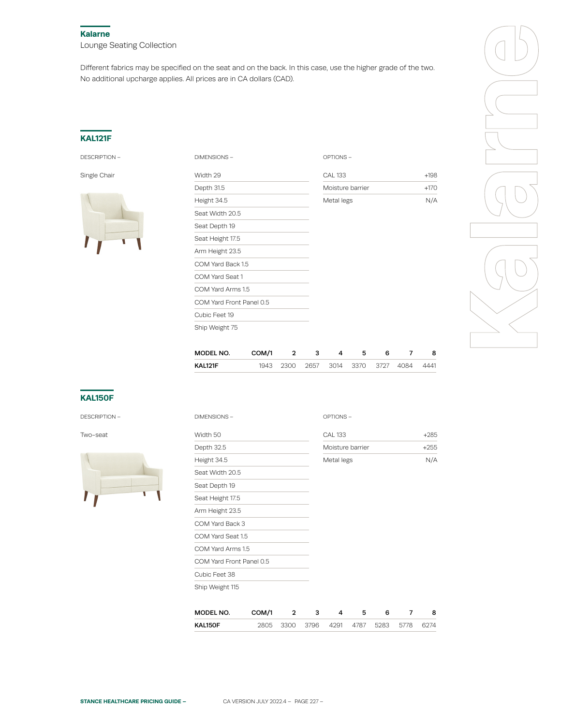#### **Kalarne**

Lounge Seating Collection

Different fabrics may be specified on the seat and on the back. In this case, use the higher grade of the two. No additional upcharge applies. All prices are in CA dollars (CAD).

## **KAL121F**

DESCRIPTION –



| Width 29                 | <b>CAL 133</b>   | $+198$ |  |
|--------------------------|------------------|--------|--|
| Depth 31.5               | Moisture barrier | $+170$ |  |
| Height 34.5              | Metal legs       | N/A    |  |
| Seat Width 20.5          |                  |        |  |
| Seat Depth 19            |                  |        |  |
| Seat Height 17.5         |                  |        |  |
| Arm Height 23.5          |                  |        |  |
| COM Yard Back 1.5        |                  |        |  |
| COM Yard Seat 1          |                  |        |  |
| COM Yard Arms 1.5        |                  |        |  |
| COM Yard Front Panel 0.5 |                  |        |  |
| Cubic Feet 19            |                  |        |  |
| Ship Weight 75           |                  |        |  |
|                          |                  |        |  |



| MODEL NO. | COM/1 |           |  | h                        |  |      |
|-----------|-------|-----------|--|--------------------------|--|------|
| KAL121F   |       | 1943 2300 |  | 2657 3014 3370 3727 4084 |  | 4441 |

### **KAL150F**

| DESCRIPTION - |  |
|---------------|--|
|               |  |



| DESCRIPTION - | DIMENSIONS -             |       |                         | OPTIONS- |                |                  |      |                |        |  |  |  |
|---------------|--------------------------|-------|-------------------------|----------|----------------|------------------|------|----------------|--------|--|--|--|
| Two-seat      | Width 50                 |       |                         |          | <b>CAL 133</b> |                  |      |                | $+285$ |  |  |  |
|               | Depth 32.5               |       |                         |          |                | Moisture barrier |      |                |        |  |  |  |
|               | Height 34.5              |       |                         |          | Metal legs     |                  |      |                | N/A    |  |  |  |
|               | Seat Width 20.5          |       |                         |          |                |                  |      |                |        |  |  |  |
|               | Seat Depth 19            |       |                         |          |                |                  |      |                |        |  |  |  |
|               | Seat Height 17.5         |       |                         |          |                |                  |      |                |        |  |  |  |
|               | Arm Height 23.5          |       |                         |          |                |                  |      |                |        |  |  |  |
|               | COM Yard Back 3          |       |                         |          |                |                  |      |                |        |  |  |  |
|               | COM Yard Seat 1.5        |       |                         |          |                |                  |      |                |        |  |  |  |
|               | COM Yard Arms 1.5        |       |                         |          |                |                  |      |                |        |  |  |  |
|               | COM Yard Front Panel 0.5 |       |                         |          |                |                  |      |                |        |  |  |  |
|               | Cubic Feet 38            |       |                         |          |                |                  |      |                |        |  |  |  |
|               | Ship Weight 115          |       |                         |          |                |                  |      |                |        |  |  |  |
|               | MODEL NO.                | COM/1 | $\overline{\mathbf{2}}$ | 3        | 4              | 5                | 6    | $\overline{7}$ | 8      |  |  |  |
|               | KAL150F                  | 2805  | 3300                    | 3796     | 4291           | 4787             | 5283 | 5778           | 6274   |  |  |  |